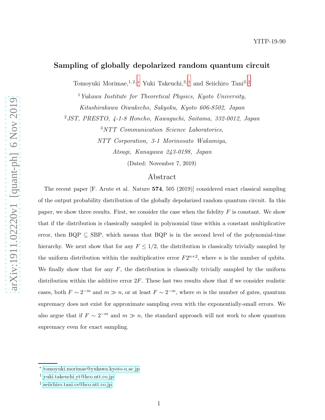# Sampling of globally depolarized random quantum circuit

Tomoyuki Morimae,<sup>1, 2,\*</sup> Yuki Takeuchi,<sup>3,[†](#page-0-1)</sup> and Seiichiro Tani<sup>3,[‡](#page-0-2)</sup>

<sup>1</sup>Yukawa Institute for Theoretical Physics, Kyoto University, Kitashirakawa Oiwakecho, Sakyoku, Kyoto 606-8502, Japan

<sup>2</sup>JST, PRESTO, 4-1-8 Honcho, Kawaguchi, Saitama, 332-0012, Japan

<sup>3</sup>NTT Communication Science Laboratories,

NTT Corporation, 3-1 Morinosato Wakamiya,

Atsugi, Kanagawa 243-0198, Japan

(Dated: November 7, 2019)

### Abstract

The recent paper [F. Arute et al. Nature 574, 505 (2019)] considered exact classical sampling of the output probability distribution of the globally depolarized random quantum circuit. In this paper, we show three results. First, we consider the case when the fidelity  $F$  is constant. We show that if the distribution is classically sampled in polynomial time within a constant multiplicative error, then  $BQP \subseteq SBP$ , which means that  $BQP$  is in the second level of the polynomial-time hierarchy. We next show that for any  $F \leq 1/2$ , the distribution is classically trivially sampled by the uniform distribution within the multiplicative error  $F2^{n+2}$ , where *n* is the number of qubits. We finally show that for any  $F$ , the distribution is classically trivially sampled by the uniform distribution within the additive error  $2F$ . These last two results show that if we consider realistic cases, both  $F \sim 2^{-m}$  and  $m \gg n$ , or at least  $F \sim 2^{-m}$ , where m is the number of gates, quantum supremacy does not exist for approximate sampling even with the exponentially-small errors. We also argue that if  $F \sim 2^{-m}$  and  $m \gg n$ , the standard approach will not work to show quantum supremacy even for exact sampling.

<span id="page-0-1"></span><span id="page-0-0"></span><sup>∗</sup> [tomoyuki.morimae@yukawa.kyoto-u.ac.jp](mailto:tomoyuki.morimae@yukawa.kyoto-u.ac.jp)

<span id="page-0-2"></span><sup>†</sup> [yuki.takeuchi.yt@hco.ntt.co.jp](mailto:yuki.takeuchi.yt@hco.ntt.co.jp)

<sup>‡</sup> [seiichiro.tani.cs@hco.ntt.co.jp](mailto:seiichiro.tani.cs@hco.ntt.co.jp)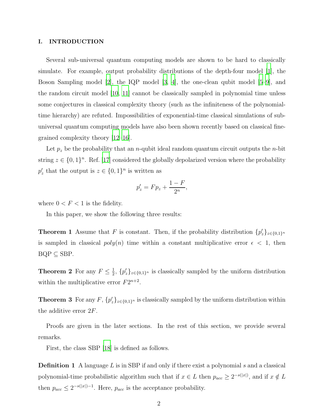#### I. INTRODUCTION

Several sub-universal quantum computing models are shown to be hard to classically simulate. For example, output probability distributions of the depth-four model [\[1\]](#page-6-0), the Boson Sampling model [\[2](#page-6-1)], the IQP model [\[3,](#page-6-2) [4](#page-7-0)], the one-clean qubit model [\[5](#page-7-1)[–9\]](#page-7-2), and the random circuit model [\[10,](#page-7-3) [11](#page-7-4)] cannot be classically sampled in polynomial time unless some conjectures in classical complexity theory (such as the infiniteness of the polynomialtime hierarchy) are refuted. Impossibilities of exponential-time classical simulations of subuniversal quantum computing models have also been shown recently based on classical finegrained complexity theory [\[12](#page-7-5)[–16\]](#page-7-6).

Let  $p_z$  be the probability that an *n*-qubit ideal random quantum circuit outputs the *n*-bit string  $z \in \{0,1\}^n$ . Ref. [\[17](#page-7-7)] considered the globally depolarized version where the probability  $p'_z$  that the output is  $z \in \{0,1\}^n$  is written as

$$
p'_z = F p_z + \frac{1 - F}{2^n},
$$

<span id="page-1-0"></span>where  $0 < F < 1$  is the fidelity.

In this paper, we show the following three results:

**Theorem 1** Assume that F is constant. Then, if the probability distribution  $\{p'_z\}_{z\in\{0,1\}^n}$ is sampled in classical  $poly(n)$  time within a constant multiplicative error  $\epsilon < 1$ , then  $BQP \subseteq SBP$ .

<span id="page-1-2"></span><span id="page-1-1"></span>**Theorem 2** For any  $F \leq \frac{1}{2}$  $\frac{1}{2}$ ,  $\{p'_z\}_{z\in\{0,1\}^n}$  is classically sampled by the uniform distribution within the multiplicative error  $F2^{n+2}$ .

**Theorem 3** For any  $F$ ,  $\{p'_z\}_{z \in \{0,1\}^n}$  is classically sampled by the uniform distribution within the additive error  $2F$ .

Proofs are given in the later sections. In the rest of this section, we provide several remarks.

First, the class SBP [\[18\]](#page-7-8) is defined as follows.

**Definition 1** A language  $L$  is in SBP if and only if there exist a polynomial  $s$  and a classical polynomial-time probabilistic algorithm such that if  $x \in L$  then  $p_{acc} \geq 2^{-s(|x|)}$ , and if  $x \notin L$ then  $p_{acc} \leq 2^{-s(|x|)-1}$ . Here,  $p_{acc}$  is the acceptance probability.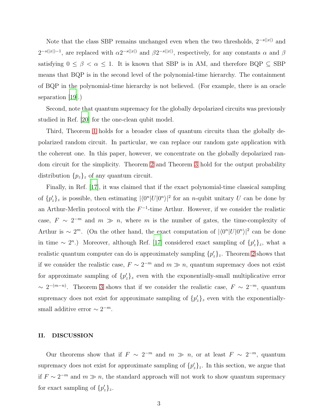Note that the class SBP remains unchanged even when the two thresholds,  $2^{-s(|x|)}$  and  $2^{-s(|x|)-1}$ , are replaced with  $\alpha 2^{-s(|x|)}$  and  $\beta 2^{-s(|x|)}$ , respectively, for any constants  $\alpha$  and  $\beta$ satisfying  $0 \le \beta < \alpha \le 1$ . It is known that SBP is in AM, and therefore BQP  $\subseteq$  SBP means that BQP is in the second level of the polynomial-time hierarchy. The containment of BQP in the polynomial-time hierarchy is not believed. (For example, there is an oracle separation [\[19\]](#page-8-0).)

Second, note that quantum supremacy for the globally depolarized circuits was previously studied in Ref. [\[20](#page-8-1)] for the one-clean qubit model.

Third, Theorem [1](#page-1-0) holds for a broader class of quantum circuits than the globally depolarized random circuit. In particular, we can replace our random gate application with the coherent one. In this paper, however, we concentrate on the globally depolarized random circuit for the simplicity. Theorem [2](#page-1-1) and Theorem [3](#page-1-2) hold for the output probability distribution  $\{p_z\}_z$  of any quantum circuit.

Finally, in Ref. [\[17](#page-7-7)], it was claimed that if the exact polynomial-time classical sampling of  $\{p'_z\}_z$  is possible, then estimating  $|\langle 0^n|U|0^n\rangle|^2$  for an *n*-qubit unitary U can be done by an Arthur-Merlin protocol with the  $F^{-1}$ -time Arthur. However, if we consider the realistic case,  $F \sim 2^{-m}$  and  $m \gg n$ , where m is the number of gates, the time-complexity of Arthur is ~ 2<sup>m</sup>. (On the other hand, the exact computation of  $|\langle 0^n|U|0^n\rangle|^2$  can be done in time ~ 2<sup>n</sup>.) Moreover, although Ref. [\[17\]](#page-7-7) considered exact sampling of  $\{p'_z\}_z$ , what a realistic quantum computer can do is approximately sampling  $\{p_z'\}_z$ . Theorem [2](#page-1-1) shows that if we consider the realistic case,  $F \sim 2^{-m}$  and  $m \gg n$ , quantum supremacy does not exist for approximate sampling of  ${p'_z}_z$  even with the exponentially-small multiplicative error  $\sim 2^{-(m-n)}$ . Theorem [3](#page-1-2) shows that if we consider the realistic case,  $F \sim 2^{-m}$ , quantum supremacy does not exist for approximate sampling of  $\{p_z'\}_z$  even with the exponentiallysmall additive error  $\sim 2^{-m}$ .

### II. DISCUSSION

Our theorems show that if  $F \sim 2^{-m}$  and  $m \gg n$ , or at least  $F \sim 2^{-m}$ , quantum supremacy does not exist for approximate sampling of  $\{p'_z\}_z$ . In this section, we argue that if  $F \sim 2^{-m}$  and  $m \gg n$ , the standard approach will not work to show quantum supremacy for exact sampling of  $\{p'_z\}_z$ .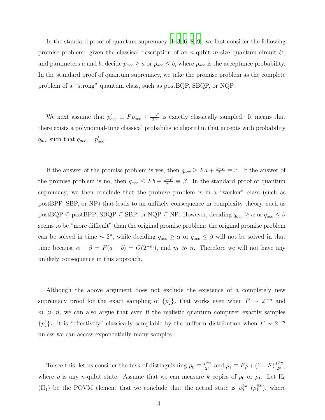In the standard proof of quantum supremacy  $[1-3, 6, 8, 9]$  $[1-3, 6, 8, 9]$  $[1-3, 6, 8, 9]$  $[1-3, 6, 8, 9]$  $[1-3, 6, 8, 9]$  $[1-3, 6, 8, 9]$ , we first consider the following promise problem: given the classical description of an *n*-qubit *m*-size quantum circuit  $U$ , and parameters a and b, decide  $p_{acc} \ge a$  or  $p_{acc} \le b$ , where  $p_{acc}$  is the acceptance probability. In the standard proof of quantum supremacy, we take the promise problem as the complete problem of a "strong" quantum class, such as postBQP, SBQP, or NQP.

We next assume that  $p'_{acc} \equiv F p_{acc} + \frac{1-F}{2^n}$  is exactly classically sampled. It means that there exists a polynomial-time classical probabilistic algorithm that accepts with probability  $q_{acc}$  such that  $q_{acc} = p'_{acc}$ .

If the answer of the promise problem is yes, then  $q_{acc} \ge Fa + \frac{1-F}{2^n} \equiv \alpha$ . If the answer of the promise problem is no, then  $q_{acc} \leq Fb + \frac{1-F}{2^n} \equiv \beta$ . In the standard proof of quantum supremacy, we then conclude that the promise problem is in a "weaker" class (such as postBPP, SBP, or NP) that leads to an unlikely consequence in complexity theory, such as  $\text{postBQP} \subseteq \text{postBPP}$ ,  $\text{SRQP} \subseteq \text{SBP}$ , or  $\text{NQP} \subseteq \text{NP}$ . However, deciding  $q_{acc} \ge \alpha$  or  $q_{acc} \le \beta$ seems to be "more difficult" than the original promise problem: the original promise problem can be solved in time  $\sim 2^n$ , while deciding  $q_{acc} \ge \alpha$  or  $q_{acc} \le \beta$  will not be solved in that time because  $\alpha - \beta = F(a - b) = O(2^{-m})$ , and  $m \gg n$ . Therefore we will not have any unlikely consequence in this approach.

Although the above argument does not exclude the existence of a completely new supremacy proof for the exact sampling of  $\{p'_z\}_z$  that works even when  $F \sim 2^{-m}$  and  $m \gg n$ , we can also argue that even if the realistic quantum computer exactly samples  ${p'_z}_z$ , it is "effectively" classically samplable by the uniform distribution when  $F \sim 2^{-m}$ unless we can access exponentially many samples.

To see this, let us consider the task of distinguishing  $\rho_0 \equiv \frac{I^{\otimes n}}{2^n}$  and  $\rho_1 \equiv F \rho + (1 - F) \frac{I^{\otimes n}}{2^n}$ , where  $\rho$  is any *n*-qubit state. Assume that we can measure k copies of  $\rho_0$  or  $\rho_1$ . Let  $\Pi_0$  $(\Pi_1)$  be the POVM element that we conclude that the actual state is  $\rho_0^{\otimes k}$   $(\rho_1^{\otimes k})$ , where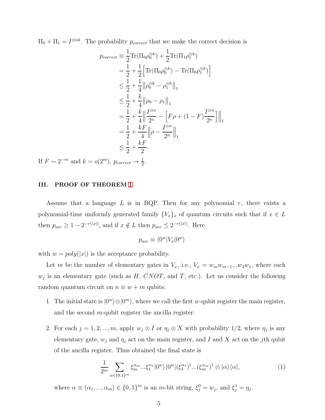$\Pi_0 + \Pi_1 = I^{\otimes nk}$ . The probability  $p_{correct}$  that we make the correct decision is

$$
p_{correct} \equiv \frac{1}{2} \text{Tr}(\Pi_0 \rho_0^{\otimes k}) + \frac{1}{2} \text{Tr}(\Pi_1 \rho_1^{\otimes k})
$$
  
\n
$$
= \frac{1}{2} + \frac{1}{2} \Big[ \text{Tr}(\Pi_0 \rho_0^{\otimes k}) - \text{Tr}(\Pi_0 \rho_1^{\otimes k}) \Big]
$$
  
\n
$$
\leq \frac{1}{2} + \frac{1}{4} ||\rho_0^{\otimes k} - \rho_1^{\otimes k}||_1
$$
  
\n
$$
\leq \frac{1}{2} + \frac{k}{4} ||\rho_0 - \rho_1||_1
$$
  
\n
$$
= \frac{1}{2} + \frac{k}{4} ||\frac{I^{\otimes n}}{2^n} - \Big[ F \rho + (1 - F) \frac{I^{\otimes n}}{2^n} \Big] ||_1
$$
  
\n
$$
= \frac{1}{2} + \frac{kF}{4} ||\rho - \frac{I^{\otimes n}}{2^n} ||_1
$$
  
\n
$$
\leq \frac{1}{2} + \frac{kF}{2}.
$$

If  $F \sim 2^{-m}$  and  $k = o(2^m)$ ,  $p_{correct} \rightarrow \frac{1}{2}$ .

### III. PROOF OF THEOREM [1](#page-1-0)

Assume that a language  $L$  is in BQP. Then for any polynomial  $r$ , there exists a polynomial-time uniformly generated family  ${V_x}_x$  of quantum circuits such that if  $x \in L$ then  $p_{acc} \ge 1 - 2^{-r(|x|)}$ , and if  $x \notin L$  then  $p_{acc} \le 2^{-r(|x|)}$ . Here

$$
p_{acc} \equiv \langle 0^w | V_x | 0^w \rangle
$$

with  $w = poly(|x|)$  is the acceptance probability.

Let m be the number of elementary gates in  $V_x$ , i.e.,  $V_x = w_m w_{m-1}...w_2 w_1$ , where each  $w_j$  is an elementary gate (such as  $H, CNOT$ , and T, etc.). Let us consider the following random quantum circuit on  $n \equiv w + m$  qubits:

- 1. The initial state is  $|0^w\rangle \otimes |0^m\rangle$ , where we call the first w-qubit register the main register, and the second m-qubit register the ancilla register.
- 2. For each  $j = 1, 2, ..., m$ , apply  $w_j \otimes I$  or  $\eta_j \otimes X$  with probability 1/2, where  $\eta_j$  is any elementary gate,  $w_j$  and  $\eta_j$  act on the main register, and I and X act on the jth qubit of the ancilla register. Thus obtained the final state is

<span id="page-4-0"></span>
$$
\frac{1}{2^m} \sum_{\alpha \in \{0,1\}^m} \xi_m^{\alpha_m} \dots \xi_1^{\alpha_1} |0^w\rangle\langle 0^w | (\xi_1^{\alpha_1})^\dagger \dots (\xi_m^{\alpha_m})^\dagger \otimes |\alpha\rangle\langle \alpha|, \tag{1}
$$

where  $\alpha \equiv (\alpha_1, ..., \alpha_m) \in \{0, 1\}^m$  is an *m*-bit string,  $\xi_j^0 = w_j$ , and  $\xi_j^1 = \eta_j$ .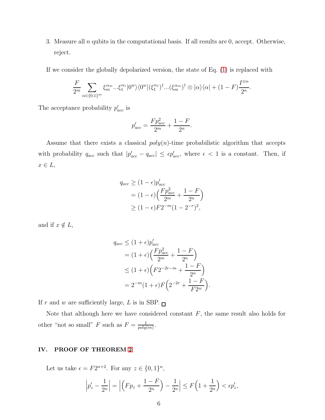3. Measure all  $n$  qubits in the computational basis. If all results are 0, accept. Otherwise, reject.

If we consider the globally depolarized version, the state of Eq. [\(1\)](#page-4-0) is replaced with

$$
\frac{F}{2^m}\sum_{\alpha\in\{0,1\}^m}\xi_m^{\alpha_m}...\xi_1^{\alpha_1}|0^w\rangle\langle0^w|(\xi_1^{\alpha_1})^\dagger...(\xi_m^{\alpha_m})^\dagger\otimes|\alpha\rangle\langle\alpha|+(1-F)\frac{I^{\otimes n}}{2^n}.
$$

The acceptance probability  $p'_{acc}$  is

$$
p'_{acc} = \frac{Fp_{acc}^2}{2^m} + \frac{1 - F}{2^n}.
$$

Assume that there exists a classical  $poly(n)$ -time probabilistic algorithm that accepts with probability  $q_{acc}$  such that  $|p'_{acc} - q_{acc}| \leq \epsilon p'_{acc}$ , where  $\epsilon < 1$  is a constant. Then, if  $x \in L$ ,

$$
q_{acc} \ge (1 - \epsilon) p'_{acc}
$$
  
=  $(1 - \epsilon) \left( \frac{F p_{acc}^2}{2^m} + \frac{1 - F}{2^n} \right)$   
 $\ge (1 - \epsilon) F 2^{-m} (1 - 2^{-r})^2,$ 

and if  $x \notin L$ ,

$$
q_{acc} \le (1 + \epsilon) p'_{acc}
$$
  
=  $(1 + \epsilon) \left( \frac{F p_{acc}^2}{2^m} + \frac{1 - F}{2^n} \right)$   
 $\le (1 + \epsilon) \left( F 2^{-2r - m} + \frac{1 - F}{2^n} \right)$   
=  $2^{-m} (1 + \epsilon) F \left( 2^{-2r} + \frac{1 - F}{F 2^w} \right).$ 

If r and w are sufficiently large, L is in SBP.  $\Box$ 

Note that although here we have considered constant  $F$ , the same result also holds for other "not so small" F such as  $F = \frac{1}{\text{poly}}$  $\frac{1}{poly(m)}$ .

## IV. PROOF OF THEOREM [2](#page-1-1)

Let us take  $\epsilon = F2^{n+2}$ . For any  $z \in \{0, 1\}^n$ ,

$$
\left| p'_z - \frac{1}{2^n} \right| = \left| \left( F p_z + \frac{1 - F}{2^n} \right) - \frac{1}{2^n} \right| \le F \left( 1 + \frac{1}{2^n} \right) < \epsilon p'_z,
$$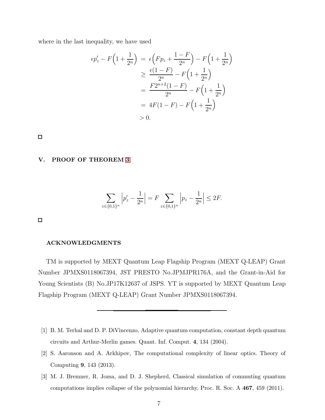where in the last inequality, we have used

$$
\epsilon p'_z - F\left(1 + \frac{1}{2^n}\right) = \epsilon \left(Fp_z + \frac{1-F}{2^n}\right) - F\left(1 + \frac{1}{2^n}\right)
$$
  
\n
$$
\geq \frac{\epsilon(1-F)}{2^n} - F\left(1 + \frac{1}{2^n}\right)
$$
  
\n
$$
= \frac{F2^{n+2}(1-F)}{2^n} - F\left(1 + \frac{1}{2^n}\right)
$$
  
\n
$$
= 4F(1-F) - F\left(1 + \frac{1}{2^n}\right)
$$
  
\n
$$
> 0.
$$

 $\Box$ 

#### V. PROOF OF THEOREM [3](#page-1-2)

$$
\sum_{z \in \{0,1\}^n} \left| p'_z - \frac{1}{2^n} \right| = F \sum_{z \in \{0,1\}^n} \left| p_z - \frac{1}{2^n} \right| \le 2F.
$$

 $\Box$ 

## ACKNOWLEDGMENTS

TM is supported by MEXT Quantum Leap Flagship Program (MEXT Q-LEAP) Grant Number JPMXS0118067394, JST PRESTO No.JPMJPR176A, and the Grant-in-Aid for Young Scientists (B) No.JP17K12637 of JSPS. YT is supported by MEXT Quantum Leap Flagship Program (MEXT Q-LEAP) Grant Number JPMXS0118067394.

- <span id="page-6-0"></span>[1] B. M. Terhal and D. P. DiVincenzo, Adaptive quantum computation, constant depth quantum circuits and Arthur-Merlin games. Quant. Inf. Comput. 4, 134 (2004).
- <span id="page-6-1"></span>[2] S. Aaronson and A. Arkhipov, The computational complexity of linear optics. Theory of Computing 9, 143 (2013).
- <span id="page-6-2"></span>[3] M. J. Bremner, R. Jozsa, and D. J. Shepherd, Classical simulation of commuting quantum computations implies collapse of the polynomial hierarchy. Proc. R. Soc. A 467, 459 (2011).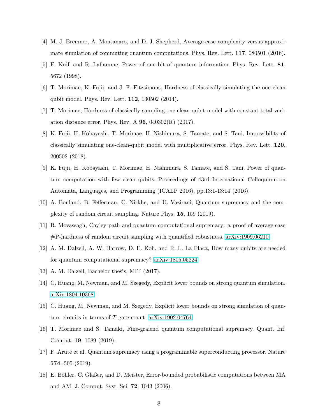- <span id="page-7-0"></span>[4] M. J. Bremner, A. Montanaro, and D. J. Shepherd, Average-case complexity versus approximate simulation of commuting quantum computations. Phys. Rev. Lett. 117, 080501 (2016).
- <span id="page-7-1"></span>[5] E. Knill and R. Laflamme, Power of one bit of quantum information. Phys. Rev. Lett. 81, 5672 (1998).
- <span id="page-7-9"></span>[6] T. Morimae, K. Fujii, and J. F. Fitzsimons, Hardness of classically simulating the one clean qubit model. Phys. Rev. Lett. 112, 130502 (2014).
- [7] T. Morimae, Hardness of classically sampling one clean qubit model with constant total variation distance error. Phys. Rev. A  $96$ ,  $040302(R)$  (2017).
- <span id="page-7-10"></span>[8] K. Fujii, H. Kobayashi, T. Morimae, H. Nishimura, S. Tamate, and S. Tani, Impossibility of classically simulating one-clean-qubit model with multiplicative error. Phys. Rev. Lett. 120, 200502 (2018).
- <span id="page-7-2"></span>[9] K. Fujii, H. Kobayashi, T. Morimae, H. Nishimura, S. Tamate, and S. Tani, Power of quantum computation with few clean qubits. Proceedings of 43rd International Colloquium on Automata, Languages, and Programming (ICALP 2016), pp.13:1-13:14 (2016).
- <span id="page-7-3"></span>[10] A. Bouland, B. Fefferman, C. Nirkhe, and U. Vazirani, Quantum supremacy and the complexity of random circuit sampling. Nature Phys. 15, 159 (2019).
- <span id="page-7-4"></span>[11] R. Movassagh, Cayley path and quantum computational supremacy: a proof of average-case #P-hardness of random circuit sampling with quantified robustness. [arXiv:1909.06210](http://arxiv.org/abs/1909.06210)
- <span id="page-7-5"></span>[12] A. M. Dalzell, A. W. Harrow, D. E. Koh, and R. L. La Placa, How many qubits are needed for quantum computational supremacy? [arXiv:1805.05224](http://arxiv.org/abs/1805.05224)
- [13] A. M. Dalzell, Bachelor thesis, MIT (2017).
- [14] C. Huang, M. Newman, and M. Szegedy, Explicit lower bounds on strong quantum simulation. [arXiv:1804.10368](http://arxiv.org/abs/1804.10368)
- [15] C. Huang, M. Newman, and M. Szegedy, Explicit lower bounds on strong simulation of quantum circuits in terms of T-gate count. [arXiv:1902.04764](http://arxiv.org/abs/1902.04764)
- <span id="page-7-6"></span>[16] T. Morimae and S. Tamaki, Fine-graiend quantum computational supremacy. Quant. Inf. Comput. 19, 1089 (2019).
- <span id="page-7-7"></span>[17] F. Arute et al. Quantum supremacy using a programmable superconducting processor. Nature 574, 505 (2019).
- <span id="page-7-8"></span>[18] E. Böhler, C. Glaßer, and D. Meister, Error-bounded probabilistic computations between MA and AM. J. Comput. Syst. Sci. 72, 1043 (2006).